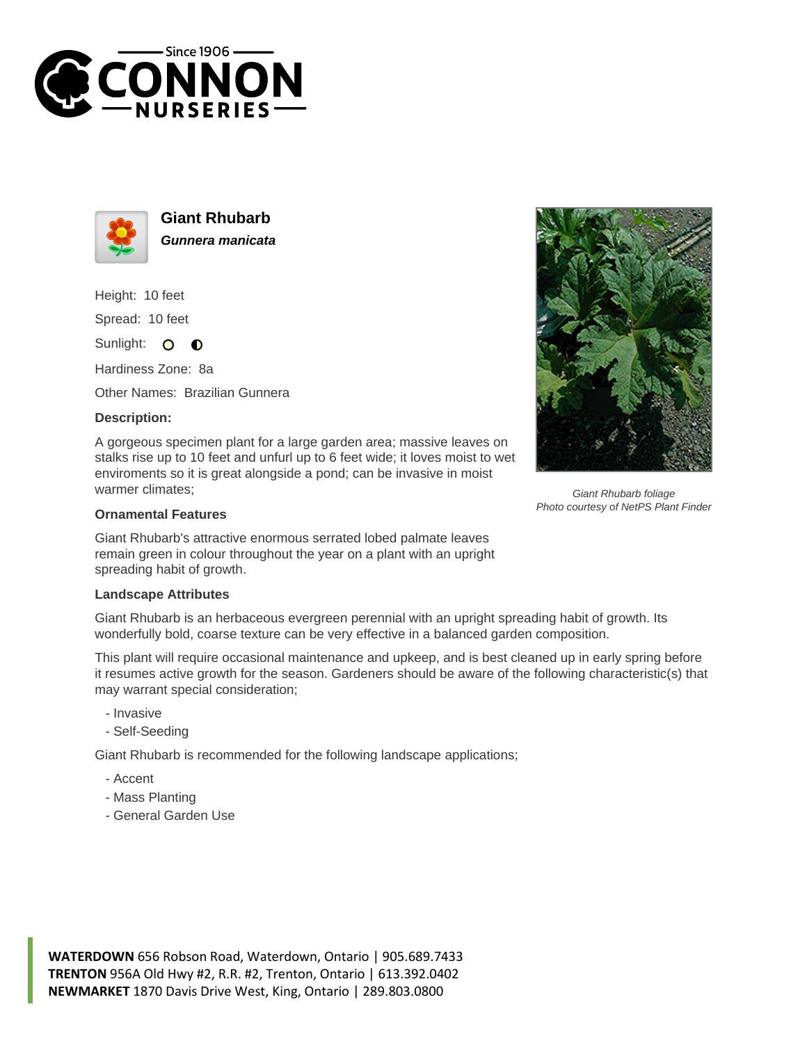



**Giant Rhubarb Gunnera manicata**

Height: 10 feet

Spread: 10 feet

Sunlight: 0  $\bullet$ 

Hardiness Zone: 8a

Other Names: Brazilian Gunnera

## **Description:**

A gorgeous specimen plant for a large garden area; massive leaves on stalks rise up to 10 feet and unfurl up to 6 feet wide; it loves moist to wet enviroments so it is great alongside a pond; can be invasive in moist warmer climates;

## **Ornamental Features**

Giant Rhubarb's attractive enormous serrated lobed palmate leaves remain green in colour throughout the year on a plant with an upright spreading habit of growth.

## **Landscape Attributes**

Giant Rhubarb is an herbaceous evergreen perennial with an upright spreading habit of growth. Its wonderfully bold, coarse texture can be very effective in a balanced garden composition.

This plant will require occasional maintenance and upkeep, and is best cleaned up in early spring before it resumes active growth for the season. Gardeners should be aware of the following characteristic(s) that may warrant special consideration;

- Invasive
- Self-Seeding

Giant Rhubarb is recommended for the following landscape applications;

- Accent
- Mass Planting
- General Garden Use



Giant Rhubarb foliage Photo courtesy of NetPS Plant Finder